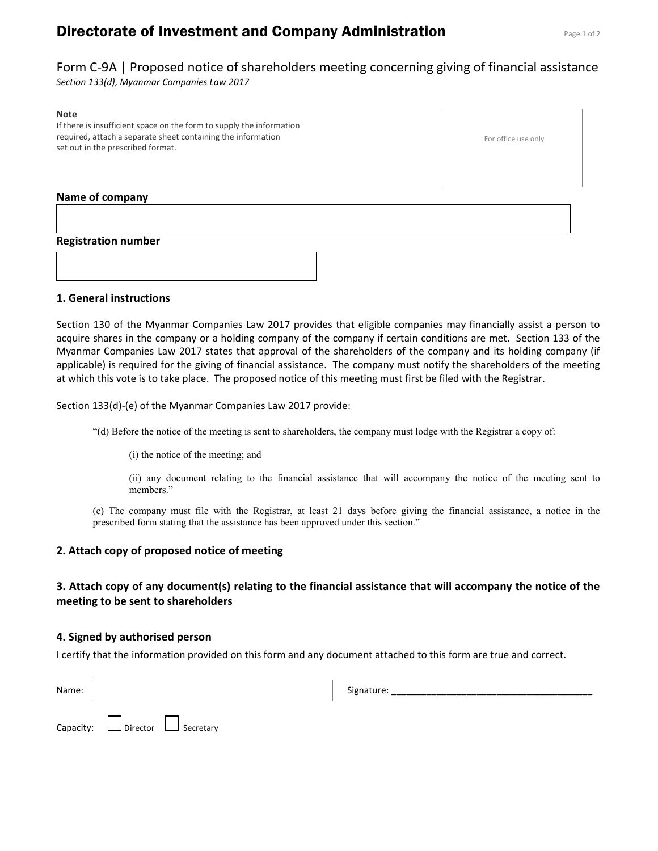# **Directorate of Investment and Company Administration** Page 1 of 2

For office use only

Form C-9A | Proposed notice of shareholders meeting concerning giving of financial assistance Section 133(d), Myanmar Companies Law 2017

#### Note

If there is insufficient space on the form to supply the information required, attach a separate sheet containing the information set out in the prescribed format.

#### Name of company

Registration number

1. General instructions

Section 130 of the Myanmar Companies Law 2017 provides that eligible companies may financially assist a person to acquire shares in the company or a holding company of the company if certain conditions are met. Section 133 of the Myanmar Companies Law 2017 states that approval of the shareholders of the company and its holding company (if applicable) is required for the giving of financial assistance. The company must notify the shareholders of the meeting at which this vote is to take place. The proposed notice of this meeting must first be filed with the Registrar.

Section 133(d)-(e) of the Myanmar Companies Law 2017 provide:

"(d) Before the notice of the meeting is sent to shareholders, the company must lodge with the Registrar a copy of:

(i) the notice of the meeting; and

(ii) any document relating to the financial assistance that will accompany the notice of the meeting sent to members."

(e) The company must file with the Registrar, at least 21 days before giving the financial assistance, a notice in the prescribed form stating that the assistance has been approved under this section."

#### 2. Attach copy of proposed notice of meeting

### 3. Attach copy of any document(s) relating to the financial assistance that will accompany the notice of the meeting to be sent to shareholders

#### 4. Signed by authorised person

I certify that the information provided on this form and any document attached to this form are true and correct.

| Name: |                                            | Signature: |
|-------|--------------------------------------------|------------|
|       | Capacity: $\Box$ Director $\Box$ Secretary |            |